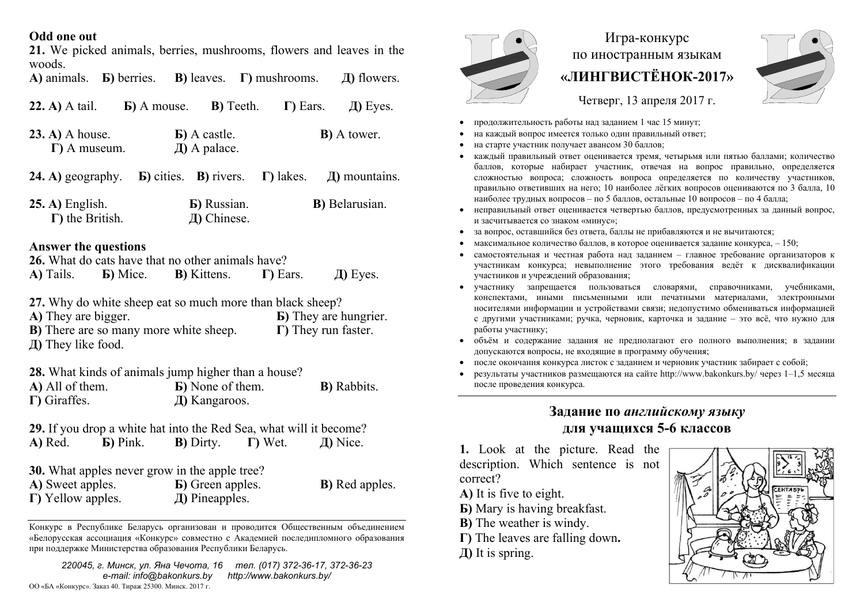### **Odd one out**

**21.** We picked animals, berries, mushrooms, flowers and leaves in the woods.

**А)** animals. **Б)** berries. **В)** leaves. **Г)** mushrooms. **Д)** flowers.

| $(22. A)$ A tail.                          | <b>b</b> ) A mouse. | <b>B</b> ) Teeth.                         | $\Gamma$ Ears. | $\pi$ ) Eyes.       |
|--------------------------------------------|---------------------|-------------------------------------------|----------------|---------------------|
| $(23. A)$ A house.<br>$\Gamma$ ) A museum. |                     | <b>b</b> ) A castle.<br>$\pi$ ) A palace. |                | <b>B</b> ) A tower. |

| <b>24.</b> A) geography. <b>b</b> ) cities. <b>B</b> ) rivers. <b>F</b> ) lakes. |                                    | $\pi$ ) mountains.     |
|----------------------------------------------------------------------------------|------------------------------------|------------------------|
| $25. A)$ English.<br>$\Gamma$ ) the British.                                     | <b>b</b> ) Russian.<br>Д) Chinese. | <b>B</b> ) Belarusian. |

### **Answer the questions**

**26.** What do cats have that no other animals have?

| A) Tails. | <b>B</b> ) Mice. | <b>B</b> ) Kittens. | $\Gamma$ ) Ears. | Д) Eyes. |
|-----------|------------------|---------------------|------------------|----------|

**27.** Why do white sheep eat so much more than black sheep?

**A)** They are bigger. **Б)** They are hungrier. **В)** There are so many more white sheep. **Г)** They run faster. **Д)** They like food.

**28.** What kinds of animals jump higher than a house?

| A) All of them.      | <b>B</b> ) None of them. | <b>B</b> ) Rabbits. |
|----------------------|--------------------------|---------------------|
| $\Gamma$ ) Giraffes. | Д) Kangaroos.            |                     |

|         | 29. If you drop a white hat into the Red Sea, what will it become? |                   |                 |          |
|---------|--------------------------------------------------------------------|-------------------|-----------------|----------|
| A) Red. | <b>b</b> ) Pink.                                                   | <b>B</b> ) Dirty. | $\Gamma$ ) Wet. | Д) Nice. |

**30.** What apples never grow in the apple tree?

| A) Sweet apples.          | <b>B</b> ) Green apples.     | <b>B</b> ) Red apples. |
|---------------------------|------------------------------|------------------------|
| $\Gamma$ ) Yellow apples. | $\overline{A}$ ) Pineapples. |                        |

Конкурс <sup>в</sup> Республике Беларусь организован <sup>и</sup> проводится Общественным объединением «Белорусская ассоциация «Конкурс» совместно <sup>с</sup> Академией последипломного образования при поддержке Министерства образования Республики Беларусь.

*220045, <sup>г</sup>. Минск, ул. Яна Чечота, 16 тел. (017) 372-36-17, 372-36-23 e-mail: info@bakonkurs.by http://www.bakonkurs.by/*  ОО «БА «Конкурс». Заказ 40. Тираж 25300. Минск. 2017 <sup>г</sup>.



# Игра-конкурс по иностранным языкам **«ЛИНГВИСТЁНОК-2017»**



Четверг, 13 апреля 2017 г.

- . продолжительность работы над заданием 1 час 15 минут;
- . на каждый вопрос имеется только один правильный ответ;
- ۰ на старте участник получает авансом 30 баллов;
- . каждый правильный ответ оценивается тремя, четырьмя или пятью баллами; количество баллов, которые набирает участник, отвечая на вопрос правильно, определяется сложностью вопроса; сложность вопроса определяется по количеству участников, правильно ответивших на него; 10 наиболее лёгких вопросов оцениваются по 3 балла, 10 наиболее трудных вопросов – по 5 баллов, остальные 10 вопросов – по 4 балла;
- ۰ неправильный ответ оценивается четвертью баллов, предусмотренных за данный вопрос, и засчитывается со знаком «минус»;
- за вопрос, оставшийся без ответа, баллы не прибавляются <sup>и</sup> не вычитаются;
- . • максимальное количество баллов, в которое оценивается задание конкурса,  $-150$ ;
- . самостоятельная и честная работа над заданием – главное требование организаторов <sup>к</sup> участникам конкурса; невыполнение этого требования ведёт <sup>к</sup> дисквалификации участников <sup>и</sup> учреждений образования;
- ۰ участнику запрещается пользоваться словарями, справочниками, учебниками, конспектами, иными письменными или печатными материалами, электронными носителями информации <sup>и</sup> устройствами связи; недопустимо обмениваться информацией с другими участниками; ручка, черновик, карточка <sup>и</sup> задание – это всё, что нужно для работы участнику;
- объём <sup>и</sup> содержание задания не предполагают его полного выполнения; <sup>в</sup> задании допускаются вопросы, не входящие <sup>в</sup> программу обучения;
- после окончания конкурса листок <sup>с</sup> заданием <sup>и</sup> черновик участник забирает <sup>с</sup> собой;
- ۰ результаты участников размещаются на сайте http://www.bakonkurs.by/ через 1–1,5 месяца после проведения конкурса.

## **Задание по** *английскому языку* **для учащихся 5-6 классов**

**1.** Look at the picture. Read the description. Which sentence is not correct?

- **A)** It is five to eight.
- **Б)** Mary is having breakfast.
- **В)** The weather is windy.
- **Г)** The leaves are falling down**.**
- **Д)** It is spring.